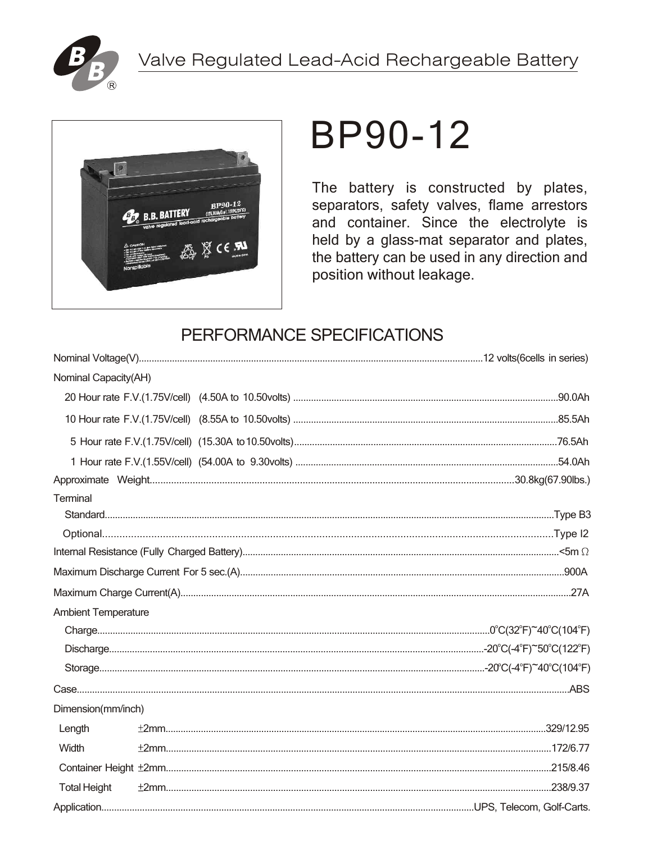



# **BP90-12**

The battery is constructed by plates, separators, safety valves, flame arrestors and container. Since the electrolyte is held by a glass-mat separator and plates, the battery can be used in any direction and position without leakage.

# PERFORMANCE SPECIFICATIONS

| Nominal Capacity(AH)       |  |  |  |  |  |  |  |
|----------------------------|--|--|--|--|--|--|--|
|                            |  |  |  |  |  |  |  |
|                            |  |  |  |  |  |  |  |
|                            |  |  |  |  |  |  |  |
|                            |  |  |  |  |  |  |  |
|                            |  |  |  |  |  |  |  |
| Terminal                   |  |  |  |  |  |  |  |
|                            |  |  |  |  |  |  |  |
|                            |  |  |  |  |  |  |  |
|                            |  |  |  |  |  |  |  |
|                            |  |  |  |  |  |  |  |
|                            |  |  |  |  |  |  |  |
| <b>Ambient Temperature</b> |  |  |  |  |  |  |  |
|                            |  |  |  |  |  |  |  |
|                            |  |  |  |  |  |  |  |
|                            |  |  |  |  |  |  |  |
|                            |  |  |  |  |  |  |  |
| Dimension(mm/inch)         |  |  |  |  |  |  |  |
| Length                     |  |  |  |  |  |  |  |
| Width                      |  |  |  |  |  |  |  |
|                            |  |  |  |  |  |  |  |
| <b>Total Height</b>        |  |  |  |  |  |  |  |
|                            |  |  |  |  |  |  |  |